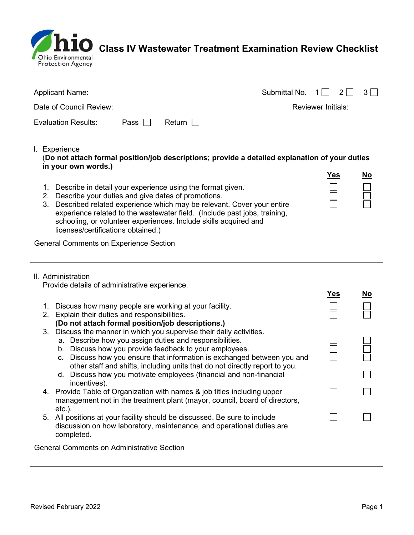

 $\dot{\mathbf{10}}$  Class IV Wastewater Treatment Examination Review Checklist

| <b>Applicant Name:</b>     |             |               | Submittal No. $1 \cap 2 \cap 3 \cap$ |                    |  |
|----------------------------|-------------|---------------|--------------------------------------|--------------------|--|
| Date of Council Review:    |             |               |                                      | Reviewer Initials: |  |
| <b>Evaluation Results:</b> | Pass $\Box$ | Return $\Box$ |                                      |                    |  |

## I. Experience

(Do not attach formal position/job descriptions; provide a detailed explanation of your duties in your own words.)

- 1. Describe in detail your experience using the format given.
- 2. Describe your duties and give dates of promotions.

| 3. Described related experience which may be relevant. Cover your entire  |
|---------------------------------------------------------------------------|
| experience related to the wastewater field. (Include past jobs, training, |
| schooling, or volunteer experiences. Include skills acquired and          |
| licenses/certifications obtained.)                                        |

General Comments on Experience Section

#### II. Administration

Provide details of administrative experience.

|               |                                                                                                                                                        | <b>Yes</b> | No |
|---------------|--------------------------------------------------------------------------------------------------------------------------------------------------------|------------|----|
| 1.<br>$2_{-}$ | Discuss how many people are working at your facility.<br>Explain their duties and responsibilities.                                                    |            |    |
|               | (Do not attach formal position/job descriptions.)                                                                                                      |            |    |
| 3.            | Discuss the manner in which you supervise their daily activities.                                                                                      |            |    |
|               | a. Describe how you assign duties and responsibilities.                                                                                                |            |    |
|               | b. Discuss how you provide feedback to your employees.                                                                                                 |            |    |
|               | c. Discuss how you ensure that information is exchanged between you and<br>other staff and shifts, including units that do not directly report to you. |            |    |
|               | d. Discuss how you motivate employees (financial and non-financial                                                                                     |            |    |
|               | incentives).                                                                                                                                           |            |    |
|               | 4. Provide Table of Organization with names & job titles including upper                                                                               |            |    |
|               | management not in the treatment plant (mayor, council, board of directors,                                                                             |            |    |
|               | $etc.$ ).                                                                                                                                              |            |    |
|               | 5. All positions at your facility should be discussed. Be sure to include                                                                              |            |    |
|               | discussion on how laboratory, maintenance, and operational duties are<br>completed.                                                                    |            |    |
|               | <b>General Comments on Administrative Section</b>                                                                                                      |            |    |

Yes No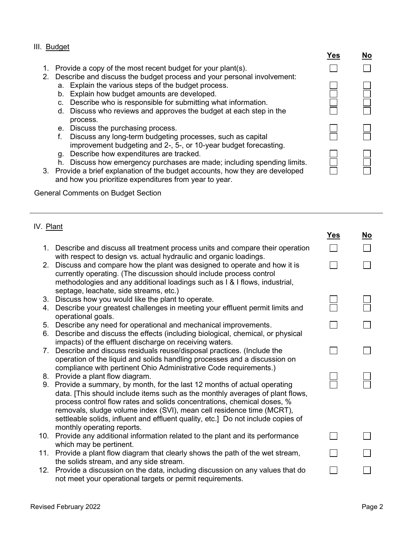## III. Budget

- 1. Provide a copy of the most recent budget for your plant(s).
- 2. Describe and discuss the budget process and your personal involvement: a. Explain the various steps of the budget process.
	- b. Explain how budget amounts are developed.
	- c. Describe who is responsible for submitting what information.
	- d. Discuss who reviews and approves the budget at each step in the process.
	- e. Discuss the purchasing process.
	- f. Discuss any long-term budgeting processes, such as capital improvement budgeting and 2-, 5-, or 10-year budget forecasting.
	- g. Describe how expenditures are tracked.
	- h. Discuss how emergency purchases are made; including spending limits.
- 3. Provide a brief explanation of the budget accounts, how they are developed and how you prioritize expenditures from year to year.

General Comments on Budget Section

# IV. Plant

|                |                                                                                                                                                                                                                                                                                                                                                                                                                                   | Yes | <u>No</u> |
|----------------|-----------------------------------------------------------------------------------------------------------------------------------------------------------------------------------------------------------------------------------------------------------------------------------------------------------------------------------------------------------------------------------------------------------------------------------|-----|-----------|
|                | 1. Describe and discuss all treatment process units and compare their operation                                                                                                                                                                                                                                                                                                                                                   |     |           |
| 2 <sub>1</sub> | with respect to design vs. actual hydraulic and organic loadings.<br>Discuss and compare how the plant was designed to operate and how it is<br>currently operating. (The discussion should include process control<br>methodologies and any additional loadings such as I & I flows, industrial,<br>septage, leachate, side streams, etc.)                                                                                       |     |           |
| 3.             | Discuss how you would like the plant to operate.                                                                                                                                                                                                                                                                                                                                                                                  |     |           |
| 4.             | Describe your greatest challenges in meeting your effluent permit limits and<br>operational goals.                                                                                                                                                                                                                                                                                                                                |     |           |
|                | 5. Describe any need for operational and mechanical improvements.                                                                                                                                                                                                                                                                                                                                                                 |     |           |
| 6.             | Describe and discuss the effects (including biological, chemical, or physical<br>impacts) of the effluent discharge on receiving waters.                                                                                                                                                                                                                                                                                          |     |           |
|                | 7. Describe and discuss residuals reuse/disposal practices. (Include the                                                                                                                                                                                                                                                                                                                                                          |     |           |
|                | operation of the liquid and solids handling processes and a discussion on                                                                                                                                                                                                                                                                                                                                                         |     |           |
|                | compliance with pertinent Ohio Administrative Code requirements.)                                                                                                                                                                                                                                                                                                                                                                 |     |           |
|                | 8. Provide a plant flow diagram.                                                                                                                                                                                                                                                                                                                                                                                                  |     |           |
|                | 9. Provide a summary, by month, for the last 12 months of actual operating<br>data. [This should include items such as the monthly averages of plant flows,<br>process control flow rates and solids concentrations, chemical doses, %<br>removals, sludge volume index (SVI), mean cell residence time (MCRT),<br>settleable solids, influent and effluent quality, etc.] Do not include copies of<br>monthly operating reports. |     |           |
| 10.            | Provide any additional information related to the plant and its performance                                                                                                                                                                                                                                                                                                                                                       |     |           |
|                | which may be pertinent.                                                                                                                                                                                                                                                                                                                                                                                                           |     |           |
|                | 11. Provide a plant flow diagram that clearly shows the path of the wet stream,                                                                                                                                                                                                                                                                                                                                                   |     |           |
|                | the solids stream, and any side stream.                                                                                                                                                                                                                                                                                                                                                                                           |     |           |
| 12.            | Provide a discussion on the data, including discussion on any values that do<br>not meet your operational targets or permit requirements.                                                                                                                                                                                                                                                                                         |     |           |

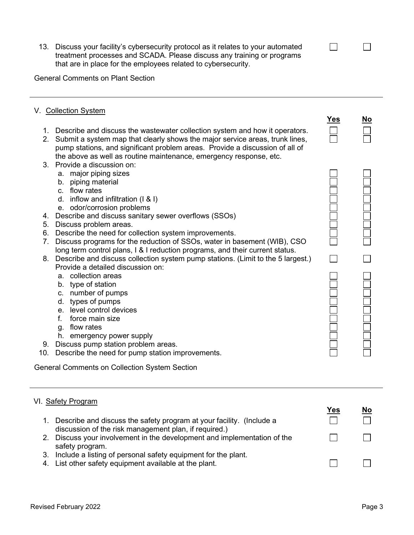13. Discuss your facility's cybersecurity protocol as it relates to your automated treatment processes and SCADA. Please discuss any training or programs that are in place for the employees related to cybersecurity.

General Comments on Plant Section

# V. Collection System

- 1. Describe and discuss the wastewater collection system and how it operators.
- 2. Submit a system map that clearly shows the major service areas, trunk lines, pump stations, and significant problem areas. Provide a discussion of all of the above as well as routine maintenance, emergency response, etc.
- 3. Provide a discussion on:
	- a. major piping sizes
	- b. piping material
	- c. flow rates
	- d. inflow and infiltration (I & I)
	- e. odor/corrosion problems
- 4. Describe and discuss sanitary sewer overflows (SSOs)
- 5. Discuss problem areas.
- 6. Describe the need for collection system improvements.
- 7. Discuss programs for the reduction of SSOs, water in basement (WIB), CSO long term control plans, I & I reduction programs, and their current status.
- 8. Describe and discuss collection system pump stations. (Limit to the 5 largest.) Provide a detailed discussion on:
	- a. collection areas
	- b. type of station
	- c. number of pumps
	- d. types of pumps
	- e. level control devices
	- f. force main size
	- g. flow rates
	- h. emergency power supply
- 9. Discuss pump station problem areas.
- 10. Describe the need for pump station improvements.

General Comments on Collection System Section

# VI. Safety Program 1. Describe and discuss the safety program at your facility. (Include a discussion of the risk management plan, if required.) 2. Discuss your involvement in the development and implementation of the safety program. 3. Include a listing of personal safety equipment for the plant.

4. List other safety equipment available at the plant.

П

Yes

 $\Box$ 

 $\Box$ 

П

Yes No

П

 $\Box$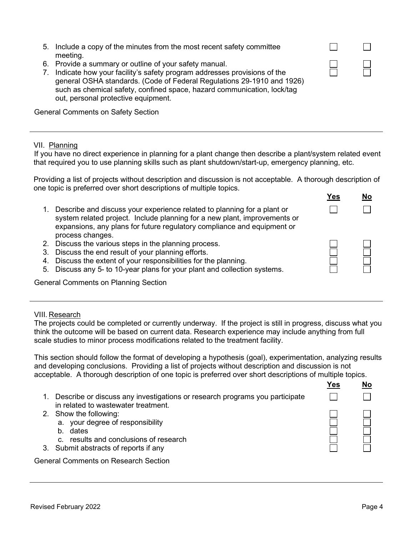|                                | 5. Include a copy of the minutes from the most recent safety committee<br>meeting.                                                                                                                                                                                                                                            |  |
|--------------------------------|-------------------------------------------------------------------------------------------------------------------------------------------------------------------------------------------------------------------------------------------------------------------------------------------------------------------------------|--|
| $7_{\scriptscriptstyle{\sim}}$ | 6. Provide a summary or outline of your safety manual.<br>Indicate how your facility's safety program addresses provisions of the<br>general OSHA standards. (Code of Federal Regulations 29-1910 and 1926)<br>such as chemical safety, confined space, hazard communication, lock/tag<br>out, personal protective equipment. |  |
|                                |                                                                                                                                                                                                                                                                                                                               |  |

General Comments on Safety Section

### VII. Planning

If you have no direct experience in planning for a plant change then describe a plant/system related event that required you to use planning skills such as plant shutdown/start-up, emergency planning, etc.

| $V_{\mathsf{A}\mathsf{A}}$                                                                                   | <b>NA</b> |
|--------------------------------------------------------------------------------------------------------------|-----------|
| one topic is preferred over short descriptions of multiple topics.                                           |           |
| Providing a list of projects without description and discussion is not acceptable. A thorough description of |           |

|    |                                                                                                                                                                                                                                 | ו פט | <b>IVO</b> |
|----|---------------------------------------------------------------------------------------------------------------------------------------------------------------------------------------------------------------------------------|------|------------|
|    | Describe and discuss your experience related to planning for a plant or<br>system related project. Include planning for a new plant, improvements or<br>expansions, any plans for future regulatory compliance and equipment or |      |            |
|    |                                                                                                                                                                                                                                 |      |            |
|    | process changes.                                                                                                                                                                                                                |      |            |
| 2. | Discuss the various steps in the planning process.                                                                                                                                                                              |      |            |
| 3. | Discuss the end result of your planning efforts.                                                                                                                                                                                |      |            |
| 4. | Discuss the extent of your responsibilities for the planning.                                                                                                                                                                   |      |            |
| 5. | Discuss any 5- to 10-year plans for your plant and collection systems.                                                                                                                                                          |      |            |
|    |                                                                                                                                                                                                                                 |      |            |

General Comments on Planning Section

## VIII. Research

The projects could be completed or currently underway. If the project is still in progress, discuss what you think the outcome will be based on current data. Research experience may include anything from full scale studies to minor process modifications related to the treatment facility.

This section should follow the format of developing a hypothesis (goal), experimentation, analyzing results and developing conclusions. Providing a list of projects without description and discussion is not acceptable. A thorough description of one topic is preferred over short descriptions of multiple topics.

|                                                                                                                    | Yes | Nο |
|--------------------------------------------------------------------------------------------------------------------|-----|----|
| Describe or discuss any investigations or research programs you participate<br>in related to wastewater treatment. |     |    |
| 2. Show the following:                                                                                             |     |    |
| a. your degree of responsibility<br>dates<br>$b_{\cdot}$                                                           |     |    |
| c. results and conclusions of research                                                                             |     |    |
| 3. Submit abstracts of reports if any                                                                              |     |    |
| <b>General Comments on Research Section</b>                                                                        |     |    |